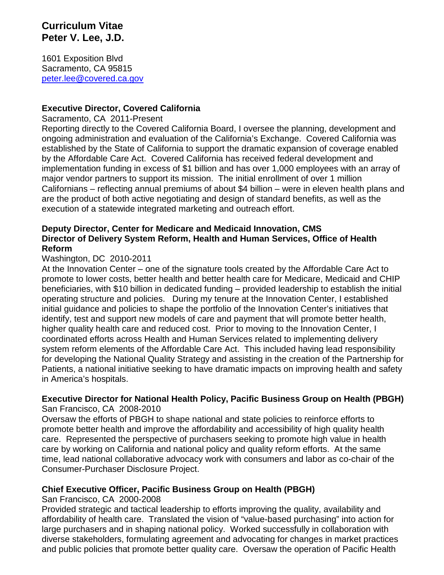### **Curriculum Vitae Peter V. Lee, J.D.**

1601 Exposition Blvd Sacramento, CA 95815 [peter.lee@covered.ca.gov](mailto:peter.lee@hhs.gov)

#### **Executive Director, Covered California**

Sacramento, CA 2011-Present

Reporting directly to the Covered California Board, I oversee the planning, development and ongoing administration and evaluation of the California's Exchange. Covered California was established by the State of California to support the dramatic expansion of coverage enabled by the Affordable Care Act. Covered California has received federal development and implementation funding in excess of \$1 billion and has over 1,000 employees with an array of major vendor partners to support its mission. The initial enrollment of over 1 million Californians – reflecting annual premiums of about \$4 billion – were in eleven health plans and are the product of both active negotiating and design of standard benefits, as well as the execution of a statewide integrated marketing and outreach effort.

#### **Deputy Director, Center for Medicare and Medicaid Innovation, CMS Director of Delivery System Reform, Health and Human Services, Office of Health Reform**

#### Washington, DC 2010-2011

At the Innovation Center – one of the signature tools created by the Affordable Care Act to promote to lower costs, better health and better health care for Medicare, Medicaid and CHIP beneficiaries, with \$10 billion in dedicated funding – provided leadership to establish the initial operating structure and policies. During my tenure at the Innovation Center, I established initial guidance and policies to shape the portfolio of the Innovation Center's initiatives that identify, test and support new models of care and payment that will promote better health, higher quality health care and reduced cost. Prior to moving to the Innovation Center, I coordinated efforts across Health and Human Services related to implementing delivery system reform elements of the Affordable Care Act. This included having lead responsibility for developing the National Quality Strategy and assisting in the creation of the Partnership for Patients, a national initiative seeking to have dramatic impacts on improving health and safety in America's hospitals.

# **Executive Director for National Health Policy, Pacific Business Group on Health (PBGH)**

San Francisco, CA 2008-2010

Oversaw the efforts of PBGH to shape national and state policies to reinforce efforts to promote better health and improve the affordability and accessibility of high quality health care. Represented the perspective of purchasers seeking to promote high value in health care by working on California and national policy and quality reform efforts. At the same time, lead national collaborative advocacy work with consumers and labor as co-chair of the Consumer-Purchaser Disclosure Project.

### **Chief Executive Officer, Pacific Business Group on Health (PBGH)**

San Francisco, CA 2000-2008

Provided strategic and tactical leadership to efforts improving the quality, availability and affordability of health care. Translated the vision of "value-based purchasing" into action for large purchasers and in shaping national policy. Worked successfully in collaboration with diverse stakeholders, formulating agreement and advocating for changes in market practices and public policies that promote better quality care. Oversaw the operation of Pacific Health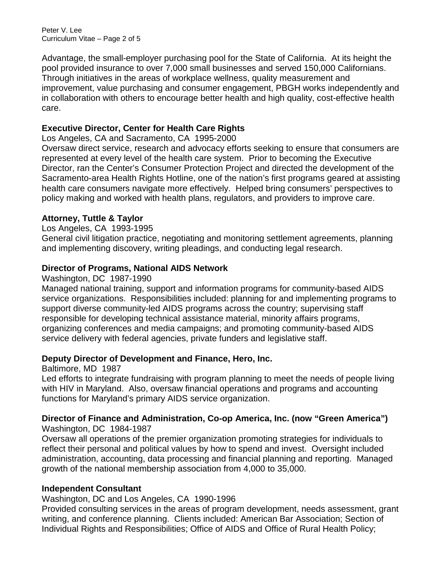Peter V. Lee Curriculum Vitae – Page 2 of 5

Advantage, the small-employer purchasing pool for the State of California. At its height the pool provided insurance to over 7,000 small businesses and served 150,000 Californians. Through initiatives in the areas of workplace wellness, quality measurement and improvement, value purchasing and consumer engagement, PBGH works independently and in collaboration with others to encourage better health and high quality, cost-effective health care.

### **Executive Director, Center for Health Care Rights**

Los Angeles, CA and Sacramento, CA 1995-2000

Oversaw direct service, research and advocacy efforts seeking to ensure that consumers are represented at every level of the health care system. Prior to becoming the Executive Director, ran the Center's Consumer Protection Project and directed the development of the Sacramento-area Health Rights Hotline, one of the nation's first programs geared at assisting health care consumers navigate more effectively. Helped bring consumers' perspectives to policy making and worked with health plans, regulators, and providers to improve care.

#### **Attorney, Tuttle & Taylor**

#### Los Angeles, CA 1993-1995

General civil litigation practice, negotiating and monitoring settlement agreements, planning and implementing discovery, writing pleadings, and conducting legal research.

#### **Director of Programs, National AIDS Network**

#### Washington, DC 1987-1990

Managed national training, support and information programs for community-based AIDS service organizations. Responsibilities included: planning for and implementing programs to support diverse community-led AIDS programs across the country; supervising staff responsible for developing technical assistance material, minority affairs programs, organizing conferences and media campaigns; and promoting community-based AIDS service delivery with federal agencies, private funders and legislative staff.

#### **Deputy Director of Development and Finance, Hero, Inc.**

Baltimore, MD 1987

Led efforts to integrate fundraising with program planning to meet the needs of people living with HIV in Maryland. Also, oversaw financial operations and programs and accounting functions for Maryland's primary AIDS service organization.

#### **Director of Finance and Administration, Co-op America, Inc. (now "Green America")** Washington, DC 1984-1987

Oversaw all operations of the premier organization promoting strategies for individuals to reflect their personal and political values by how to spend and invest. Oversight included administration, accounting, data processing and financial planning and reporting. Managed growth of the national membership association from 4,000 to 35,000.

#### **Independent Consultant**

Washington, DC and Los Angeles, CA 1990-1996

Provided consulting services in the areas of program development, needs assessment, grant writing, and conference planning. Clients included: American Bar Association; Section of Individual Rights and Responsibilities; Office of AIDS and Office of Rural Health Policy;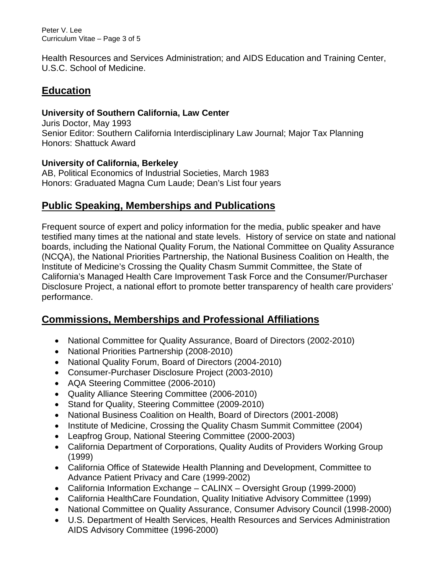Peter V. Lee Curriculum Vitae – Page 3 of 5

Health Resources and Services Administration; and AIDS Education and Training Center, U.S.C. School of Medicine.

# **Education**

### **University of Southern California, Law Center**

Juris Doctor, May 1993 Senior Editor: Southern California Interdisciplinary Law Journal; Major Tax Planning Honors: Shattuck Award

### **University of California, Berkeley**

AB, Political Economics of Industrial Societies, March 1983 Honors: Graduated Magna Cum Laude; Dean's List four years

# **Public Speaking, Memberships and Publications**

Frequent source of expert and policy information for the media, public speaker and have testified many times at the national and state levels. History of service on state and national boards, including the National Quality Forum, the National Committee on Quality Assurance (NCQA), the National Priorities Partnership, the National Business Coalition on Health, the Institute of Medicine's Crossing the Quality Chasm Summit Committee, the State of California's Managed Health Care Improvement Task Force and the Consumer/Purchaser Disclosure Project, a national effort to promote better transparency of health care providers' performance.

# **Commissions, Memberships and Professional Affiliations**

- National Committee for Quality Assurance, Board of Directors (2002-2010)
- National Priorities Partnership (2008-2010)
- National Quality Forum, Board of Directors (2004-2010)
- Consumer-Purchaser Disclosure Project (2003-2010)
- AQA Steering Committee (2006-2010)
- Quality Alliance Steering Committee (2006-2010)
- Stand for Quality, Steering Committee (2009-2010)
- National Business Coalition on Health, Board of Directors (2001-2008)
- Institute of Medicine, Crossing the Quality Chasm Summit Committee (2004)
- Leapfrog Group, National Steering Committee (2000-2003)
- California Department of Corporations, Quality Audits of Providers Working Group (1999)
- California Office of Statewide Health Planning and Development, Committee to Advance Patient Privacy and Care (1999-2002)
- California Information Exchange CALINX Oversight Group (1999-2000)
- California HealthCare Foundation, Quality Initiative Advisory Committee (1999)
- National Committee on Quality Assurance, Consumer Advisory Council (1998-2000)
- U.S. Department of Health Services, Health Resources and Services Administration AIDS Advisory Committee (1996-2000)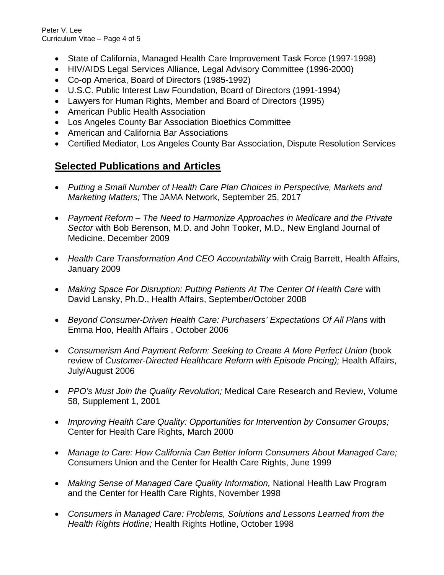Peter V. Lee Curriculum Vitae – Page 4 of 5

- State of California, Managed Health Care Improvement Task Force (1997-1998)
- HIV/AIDS Legal Services Alliance, Legal Advisory Committee (1996-2000)
- Co-op America, Board of Directors (1985-1992)
- U.S.C. Public Interest Law Foundation, Board of Directors (1991-1994)
- Lawyers for Human Rights, Member and Board of Directors (1995)
- American Public Health Association
- Los Angeles County Bar Association Bioethics Committee
- American and California Bar Associations
- Certified Mediator, Los Angeles County Bar Association, Dispute Resolution Services

# **Selected Publications and Articles**

- *[Putting](http://jamanetwork.com/journals/jamainternalmedicine/article-abstract/2653906) a Small Number of Health Care Plan Choices in Perspective, Markets and Marketing Matters;* The JAMA Network, September 25, 2017
- *Payment Reform – The Need to Harmonize Approaches in Medicare and the Private Sector* with Bob Berenson, M.D. and John Tooker, M.D., New England Journal of Medicine, December 2009
- *Health Care Transformation And CEO Accountability* with Craig Barrett, Health Affairs, January 2009
- Making Space For Disruption: Putting Patients At The Center Of Health Care with David Lansky, Ph.D., Health Affairs, September/October 2008
- *Beyond Consumer-Driven Health Care: Purchasers' Expectations Of All Plans* with Emma Hoo, Health Affairs , October 2006
- *Consumerism And Payment Reform: Seeking to Create A More Perfect Union* (book review of *Customer-Directed Healthcare Reform with Episode Pricing);* Health Affairs, July/August 2006
- *PPO's Must Join the Quality Revolution;* Medical Care Research and Review, Volume 58, Supplement 1, 2001
- *Improving Health Care Quality: Opportunities for Intervention by Consumer Groups;* Center for Health Care Rights, March 2000
- *Manage to Care: How California Can Better Inform Consumers About Managed Care;* Consumers Union and the Center for Health Care Rights, June 1999
- *Making Sense of Managed Care Quality Information,* National Health Law Program and the Center for Health Care Rights, November 1998
- *Consumers in Managed Care: Problems, Solutions and Lessons Learned from the Health Rights Hotline;* Health Rights Hotline, October 1998